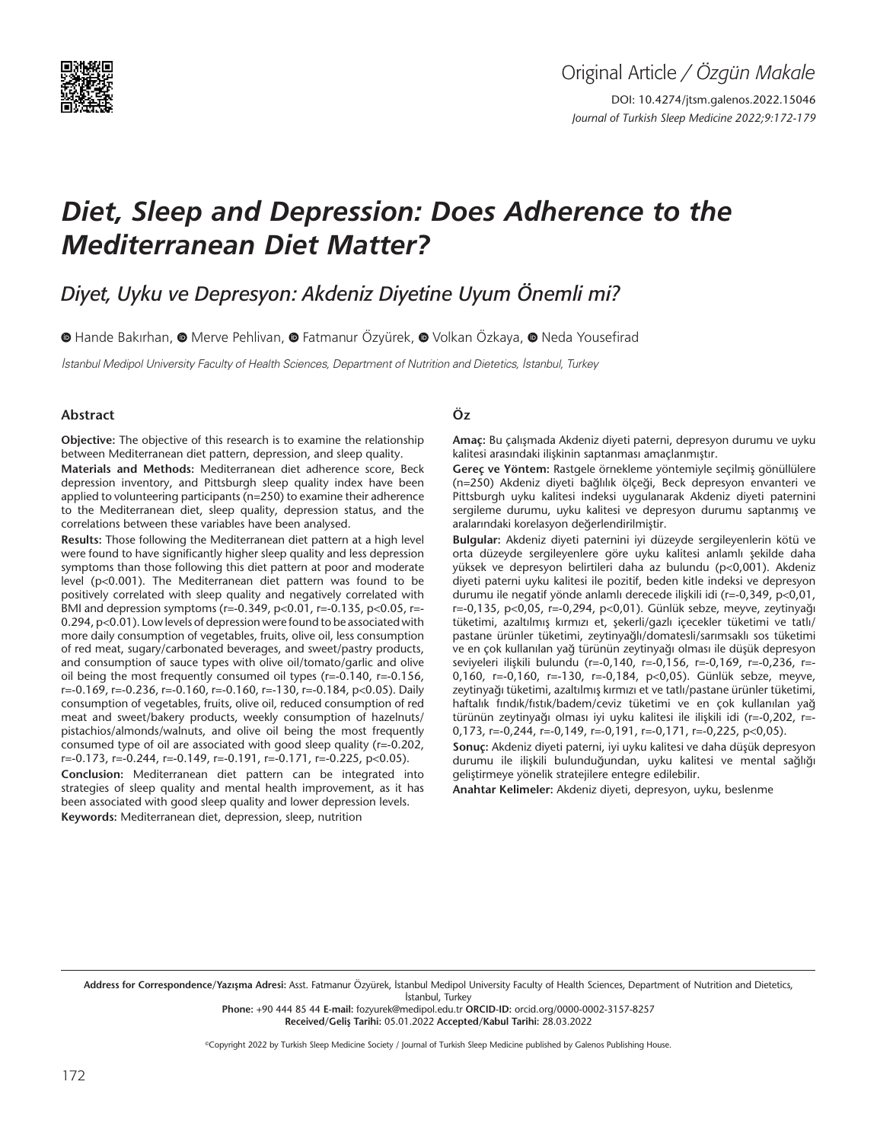

DOI: 10.4274/jtsm.galenos.2022.15046 *Journal of Turkish Sleep Medicine 2022;9:172-179*

# *Diet, Sleep and Depression: Does Adherence to the Mediterranean Diet Matter?*

*Diyet, Uyku ve Depresyon: Akdeniz Diyetine Uyum Önemli mi?*

 $\bullet$ Hande Bakırhan,  $\bullet$  Merve Pehlivan,  $\bullet$  Fatmanur Özvürek,  $\bullet$  Volkan Özkaya,  $\bullet$  Neda Yousefirad

İstanbul Medipol University Faculty of Health Sciences, Department of Nutrition and Dietetics, İstanbul, Turkey

#### **Abstract**

**Objective:** The objective of this research is to examine the relationship between Mediterranean diet pattern, depression, and sleep quality.

**Materials and Methods:** Mediterranean diet adherence score, Beck depression inventory, and Pittsburgh sleep quality index have been applied to volunteering participants (n=250) to examine their adherence to the Mediterranean diet, sleep quality, depression status, and the correlations between these variables have been analysed.

**Results:** Those following the Mediterranean diet pattern at a high level were found to have significantly higher sleep quality and less depression symptoms than those following this diet pattern at poor and moderate level (p<0.001). The Mediterranean diet pattern was found to be positively correlated with sleep quality and negatively correlated with BMI and depression symptoms (r=-0.349, p<0.01, r=-0.135, p<0.05, r=- 0.294, p<0.01). Low levels of depression were found to be associated with more daily consumption of vegetables, fruits, olive oil, less consumption of red meat, sugary/carbonated beverages, and sweet/pastry products, and consumption of sauce types with olive oil/tomato/garlic and olive oil being the most frequently consumed oil types (r=-0.140, r=-0.156, r=-0.169, r=-0.236, r=-0.160, r=-0.160, r=-130, r=-0.184, p<0.05). Daily consumption of vegetables, fruits, olive oil, reduced consumption of red meat and sweet/bakery products, weekly consumption of hazelnuts/ pistachios/almonds/walnuts, and olive oil being the most frequently consumed type of oil are associated with good sleep quality (r=-0.202, r=-0.173, r=-0.244, r=-0.149, r=-0.191, r=-0.171, r=-0.225, p<0.05). **Conclusion:** Mediterranean diet pattern can be integrated into strategies of sleep quality and mental health improvement, as it has been associated with good sleep quality and lower depression levels. **Keywords:** Mediterranean diet, depression, sleep, nutrition

# **Öz**

**Amaç:** Bu çalışmada Akdeniz diyeti paterni, depresyon durumu ve uyku kalitesi arasındaki ilişkinin saptanması amaçlanmıştır.

**Gereç ve Yöntem:** Rastgele örnekleme yöntemiyle seçilmiş gönüllülere (n=250) Akdeniz diyeti bağlılık ölçeği, Beck depresyon envanteri ve Pittsburgh uyku kalitesi indeksi uygulanarak Akdeniz diyeti paternini sergileme durumu, uyku kalitesi ve depresyon durumu saptanmış ve aralarındaki korelasyon değerlendirilmiştir.

**Bulgular:** Akdeniz diyeti paternini iyi düzeyde sergileyenlerin kötü ve orta düzeyde sergileyenlere göre uyku kalitesi anlamlı şekilde daha yüksek ve depresyon belirtileri daha az bulundu (p<0,001). Akdeniz diyeti paterni uyku kalitesi ile pozitif, beden kitle indeksi ve depresyon durumu ile negatif yönde anlamlı derecede ilişkili idi (r=-0,349, p<0,01, r=-0,135, p<0,05, r=-0,294, p<0,01). Günlük sebze, meyve, zeytinyağı tüketimi, azaltılmış kırmızı et, şekerli/gazlı içecekler tüketimi ve tatlı/ pastane ürünler tüketimi, zeytinyağlı/domatesli/sarımsaklı sos tüketimi ve en çok kullanılan yağ türünün zeytinyağı olması ile düşük depresyon seviyeleri ilişkili bulundu (r=-0,140, r=-0,156, r=-0,169, r=-0,236, r=- 0,160, r=-0,160, r=-130, r=-0,184, p<0,05). Günlük sebze, meyve, zeytinyağı tüketimi, azaltılmış kırmızı et ve tatlı/pastane ürünler tüketimi, haftalık fındık/fıstık/badem/ceviz tüketimi ve en çok kullanılan yağ türünün zeytinyağı olması iyi uyku kalitesi ile ilişkili idi (r=-0,202, r=- 0,173, r=-0,244, r=-0,149, r=-0,191, r=-0,171, r=-0,225, p<0,05).

**Sonuç:** Akdeniz diyeti paterni, iyi uyku kalitesi ve daha düşük depresyon durumu ile ilişkili bulunduğundan, uyku kalitesi ve mental sağlığı geliştirmeye yönelik stratejilere entegre edilebilir.

**Anahtar Kelimeler:** Akdeniz diyeti, depresyon, uyku, beslenme

Address for Correspondence/Yazışma Adresi: Asst. Fatmanur Özyürek, İstanbul Medipol University Faculty of Health Sciences, Department of Nutrition and Dietetics, İstanbul, Turkey

**Phone:** +90 444 85 44 **E-mail:** fozyurek@medipol.edu.tr **ORCID-ID:** orcid.org/0000-0002-3157-8257 **Received/Geliş Tarihi:** 05.01.2022 **Accepted/Kabul Tarihi:** 28.03.2022

©Copyright 2022 by Turkish Sleep Medicine Society / Journal of Turkish Sleep Medicine published by Galenos Publishing House.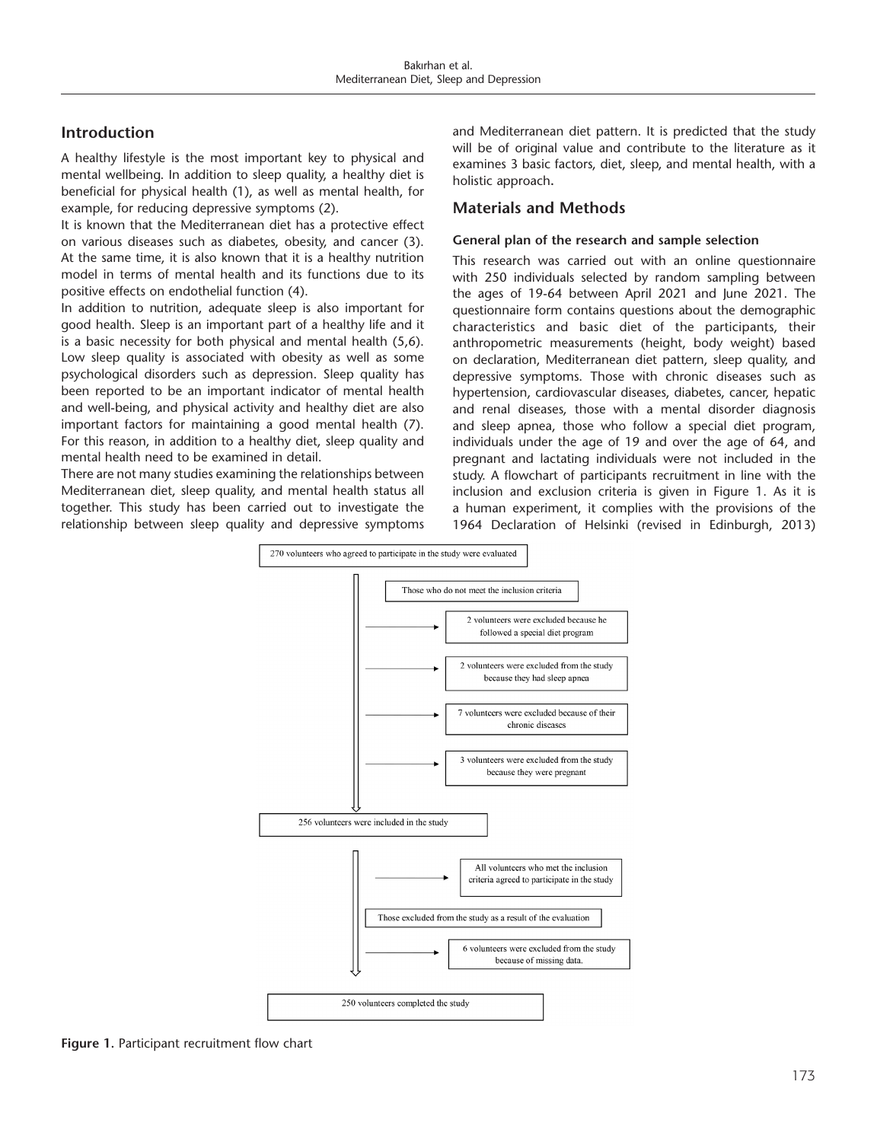# **Introduction**

A healthy lifestyle is the most important key to physical and mental wellbeing. In addition to sleep quality, a healthy diet is beneficial for physical health (1), as well as mental health, for example, for reducing depressive symptoms (2).

It is known that the Mediterranean diet has a protective effect on various diseases such as diabetes, obesity, and cancer (3). At the same time, it is also known that it is a healthy nutrition model in terms of mental health and its functions due to its positive effects on endothelial function (4).

In addition to nutrition, adequate sleep is also important for good health. Sleep is an important part of a healthy life and it is a basic necessity for both physical and mental health (5,6). Low sleep quality is associated with obesity as well as some psychological disorders such as depression. Sleep quality has been reported to be an important indicator of mental health and well-being, and physical activity and healthy diet are also important factors for maintaining a good mental health (7). For this reason, in addition to a healthy diet, sleep quality and mental health need to be examined in detail.

There are not many studies examining the relationships between Mediterranean diet, sleep quality, and mental health status all together. This study has been carried out to investigate the relationship between sleep quality and depressive symptoms

and Mediterranean diet pattern. It is predicted that the study will be of original value and contribute to the literature as it examines 3 basic factors, diet, sleep, and mental health, with a holistic approach**.**

# **Materials and Methods**

### **General plan of the research and sample selection**

This research was carried out with an online questionnaire with 250 individuals selected by random sampling between the ages of 19-64 between April 2021 and June 2021. The questionnaire form contains questions about the demographic characteristics and basic diet of the participants, their anthropometric measurements (height, body weight) based on declaration, Mediterranean diet pattern, sleep quality, and depressive symptoms. Those with chronic diseases such as hypertension, cardiovascular diseases, diabetes, cancer, hepatic and renal diseases, those with a mental disorder diagnosis and sleep apnea, those who follow a special diet program, individuals under the age of 19 and over the age of 64, and pregnant and lactating individuals were not included in the study. A flowchart of participants recruitment in line with the inclusion and exclusion criteria is given in Figure 1. As it is a human experiment, it complies with the provisions of the 1964 Declaration of Helsinki (revised in Edinburgh, 2013)



**Figure 1.** Participant recruitment flow chart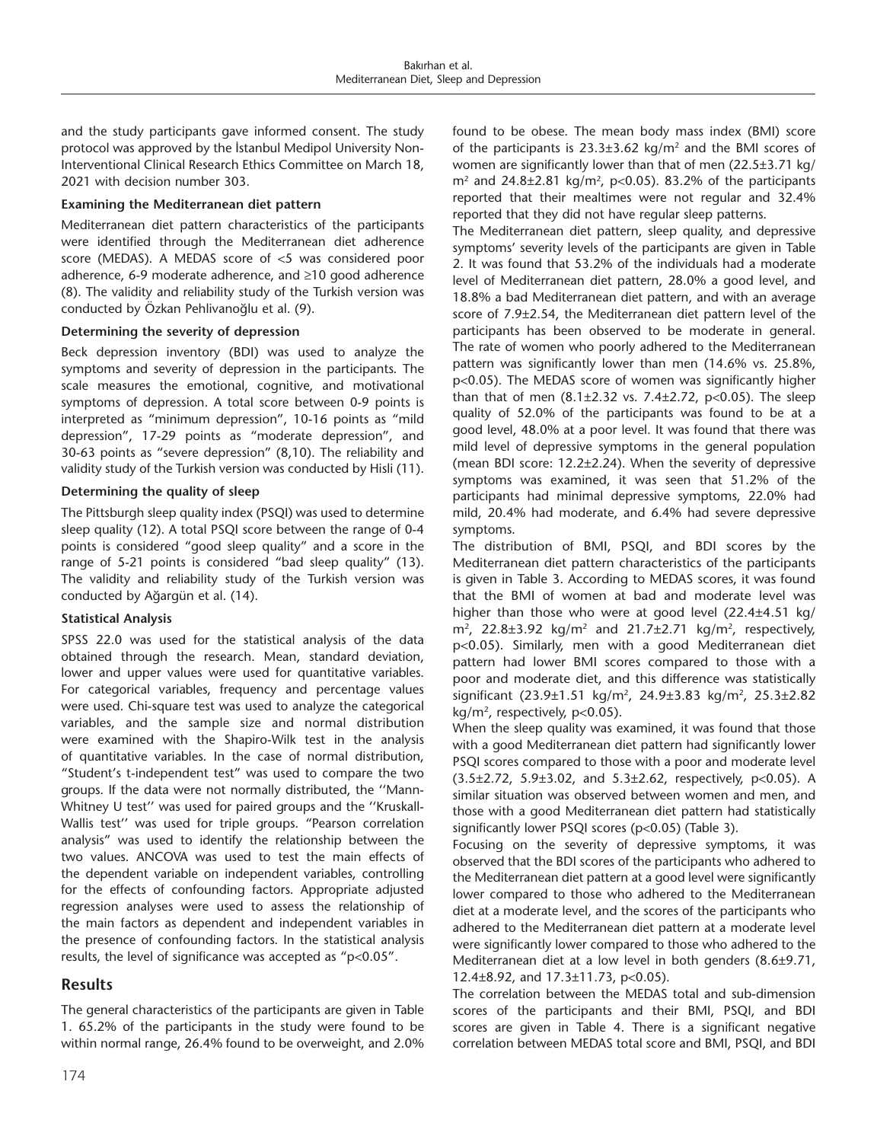and the study participants gave informed consent. The study protocol was approved by the İstanbul Medipol University Non-Interventional Clinical Research Ethics Committee on March 18, 2021 with decision number 303.

# **Examining the Mediterranean diet pattern**

Mediterranean diet pattern characteristics of the participants were identified through the Mediterranean diet adherence score (MEDAS). A MEDAS score of <5 was considered poor adherence, 6-9 moderate adherence, and ≥10 good adherence (8). The validity and reliability study of the Turkish version was conducted by Özkan Pehlivanoğlu et al. (9).

### **Determining the severity of depression**

Beck depression inventory (BDI) was used to analyze the symptoms and severity of depression in the participants. The scale measures the emotional, cognitive, and motivational symptoms of depression. A total score between 0-9 points is interpreted as "minimum depression", 10-16 points as "mild depression", 17-29 points as "moderate depression", and 30-63 points as "severe depression" (8,10). The reliability and validity study of the Turkish version was conducted by Hisli (11).

### **Determining the quality of sleep**

The Pittsburgh sleep quality index (PSQI) was used to determine sleep quality (12). A total PSQI score between the range of 0-4 points is considered "good sleep quality" and a score in the range of 5-21 points is considered "bad sleep quality" (13). The validity and reliability study of the Turkish version was conducted by Ağargün et al. (14).

#### **Statistical Analysis**

SPSS 22.0 was used for the statistical analysis of the data obtained through the research. Mean, standard deviation, lower and upper values were used for quantitative variables. For categorical variables, frequency and percentage values were used. Chi-square test was used to analyze the categorical variables, and the sample size and normal distribution were examined with the Shapiro-Wilk test in the analysis of quantitative variables. In the case of normal distribution, "Student's t-independent test" was used to compare the two groups. If the data were not normally distributed, the ''Mann-Whitney U test'' was used for paired groups and the ''Kruskall-Wallis test'' was used for triple groups. "Pearson correlation analysis" was used to identify the relationship between the two values. ANCOVA was used to test the main effects of the dependent variable on independent variables, controlling for the effects of confounding factors. Appropriate adjusted regression analyses were used to assess the relationship of the main factors as dependent and independent variables in the presence of confounding factors. In the statistical analysis results, the level of significance was accepted as "p<0.05".

# **Results**

The general characteristics of the participants are given in Table 1. 65.2% of the participants in the study were found to be within normal range, 26.4% found to be overweight, and 2.0% found to be obese. The mean body mass index (BMI) score of the participants is  $23.3\pm3.62$  kg/m<sup>2</sup> and the BMI scores of women are significantly lower than that of men (22.5±3.71 kg/  $m<sup>2</sup>$  and 24.8 $\pm$ 2.81 kg/m<sup>2</sup>, p<0.05). 83.2% of the participants reported that their mealtimes were not regular and 32.4% reported that they did not have regular sleep patterns.

The Mediterranean diet pattern, sleep quality, and depressive symptoms' severity levels of the participants are given in Table 2. It was found that 53.2% of the individuals had a moderate level of Mediterranean diet pattern, 28.0% a good level, and 18.8% a bad Mediterranean diet pattern, and with an average score of 7.9±2.54, the Mediterranean diet pattern level of the participants has been observed to be moderate in general. The rate of women who poorly adhered to the Mediterranean pattern was significantly lower than men (14.6% vs. 25.8%, p<0.05). The MEDAS score of women was significantly higher than that of men  $(8.1 \pm 2.32 \text{ vs. } 7.4 \pm 2.72, \text{ p} < 0.05)$ . The sleep quality of 52.0% of the participants was found to be at a good level, 48.0% at a poor level. It was found that there was mild level of depressive symptoms in the general population (mean BDI score: 12.2±2.24). When the severity of depressive symptoms was examined, it was seen that 51.2% of the participants had minimal depressive symptoms, 22.0% had mild, 20.4% had moderate, and 6.4% had severe depressive symptoms.

The distribution of BMI, PSQI, and BDI scores by the Mediterranean diet pattern characteristics of the participants is given in Table 3. According to MEDAS scores, it was found that the BMI of women at bad and moderate level was higher than those who were at good level (22.4±4.51 kg/  $m^2$ , 22.8 $\pm$ 3.92 kg/m<sup>2</sup> and 21.7 $\pm$ 2.71 kg/m<sup>2</sup>, respectively, p<0.05). Similarly, men with a good Mediterranean diet pattern had lower BMI scores compared to those with a poor and moderate diet, and this difference was statistically significant (23.9±1.51 kg/m<sup>2</sup>, 24.9±3.83 kg/m<sup>2</sup>, 25.3±2.82 kg/m<sup>2</sup>, respectively, p<0.05).

When the sleep quality was examined, it was found that those with a good Mediterranean diet pattern had significantly lower PSQI scores compared to those with a poor and moderate level (3.5±2.72, 5.9±3.02, and 5.3±2.62, respectively, p<0.05). A similar situation was observed between women and men, and those with a good Mediterranean diet pattern had statistically significantly lower PSQI scores (p<0.05) (Table 3).

Focusing on the severity of depressive symptoms, it was observed that the BDI scores of the participants who adhered to the Mediterranean diet pattern at a good level were significantly lower compared to those who adhered to the Mediterranean diet at a moderate level, and the scores of the participants who adhered to the Mediterranean diet pattern at a moderate level were significantly lower compared to those who adhered to the Mediterranean diet at a low level in both genders (8.6±9.71, 12.4±8.92, and 17.3±11.73, p<0.05).

The correlation between the MEDAS total and sub-dimension scores of the participants and their BMI, PSQI, and BDI scores are given in Table 4. There is a significant negative correlation between MEDAS total score and BMI, PSQI, and BDI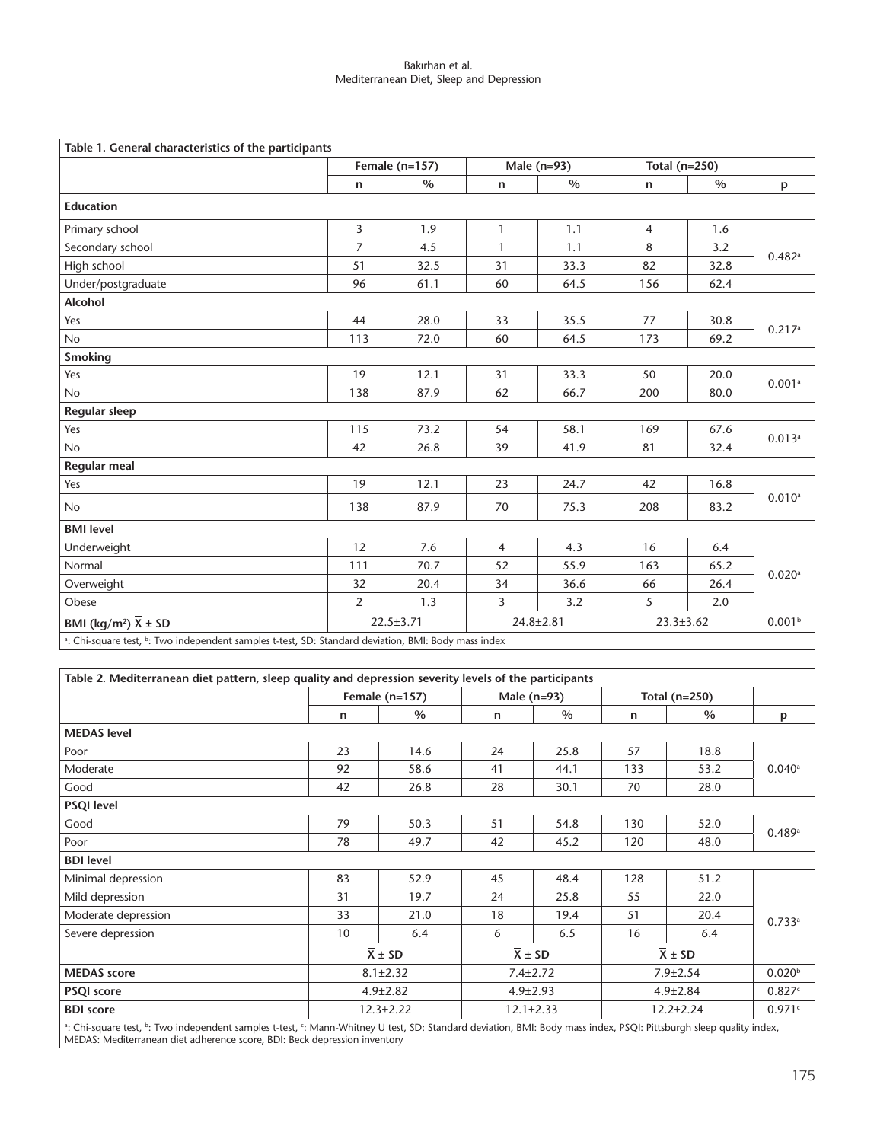#### Bakırhan et al. Mediterranean Diet, Sleep and Depression

| Table 1. General characteristics of the participants                                                            |                  |               |                 |      |                 |      |                      |  |  |
|-----------------------------------------------------------------------------------------------------------------|------------------|---------------|-----------------|------|-----------------|------|----------------------|--|--|
|                                                                                                                 | Female $(n=157)$ |               | Male $(n=93)$   |      | Total (n=250)   |      |                      |  |  |
|                                                                                                                 | $\mathsf{n}$     | $\frac{0}{0}$ | n               | $\%$ | n               | $\%$ | p                    |  |  |
| <b>Education</b>                                                                                                |                  |               |                 |      |                 |      |                      |  |  |
| Primary school                                                                                                  | $\overline{3}$   | 1.9           | $\mathbf{1}$    | 1.1  | $\overline{4}$  | 1.6  |                      |  |  |
| Secondary school                                                                                                | $\overline{7}$   | 4.5           | $\mathbf{1}$    | 1.1  | 8               | 3.2  | $0.482$ <sup>a</sup> |  |  |
| High school                                                                                                     | 51               | 32.5          | 31              | 33.3 | 82              | 32.8 |                      |  |  |
| Under/postgraduate                                                                                              | 96               | 61.1          | 60              | 64.5 | 156             | 62.4 |                      |  |  |
| Alcohol                                                                                                         |                  |               |                 |      |                 |      |                      |  |  |
| Yes                                                                                                             | 44               | 28.0          | 33              | 35.5 | 77              | 30.8 | 0.217a               |  |  |
| <b>No</b>                                                                                                       | 113              | 72.0          | 60              | 64.5 | 173             | 69.2 |                      |  |  |
| <b>Smoking</b>                                                                                                  |                  |               |                 |      |                 |      |                      |  |  |
| Yes                                                                                                             | 19               | 12.1          | 31              | 33.3 | 50              | 20.0 | 0.001a               |  |  |
| <b>No</b>                                                                                                       | 138              | 87.9          | 62              | 66.7 | 200             | 80.0 |                      |  |  |
| <b>Regular sleep</b>                                                                                            |                  |               |                 |      |                 |      |                      |  |  |
| Yes                                                                                                             | 115              | 73.2          | 54              | 58.1 | 169             | 67.6 | $0.013^{a}$          |  |  |
| <b>No</b>                                                                                                       | 42               | 26.8          | 39              | 41.9 | 81              | 32.4 |                      |  |  |
| <b>Regular meal</b>                                                                                             |                  |               |                 |      |                 |      |                      |  |  |
| Yes                                                                                                             | 19               | 12.1          | 23              | 24.7 | 42              | 16.8 |                      |  |  |
| No                                                                                                              | 138              | 87.9          | 70              | 75.3 | 208             | 83.2 | $0.010^{a}$          |  |  |
| <b>BMI</b> level                                                                                                |                  |               |                 |      |                 |      |                      |  |  |
| Underweight                                                                                                     | 12               | 7.6           | $\overline{4}$  | 4.3  | 16              | 6.4  | $0.020$ <sup>a</sup> |  |  |
| Normal                                                                                                          | 111              | 70.7          | 52              | 55.9 | 163             | 65.2 |                      |  |  |
| Overweight                                                                                                      | 32               | 20.4          | 34              | 36.6 | 66              | 26.4 |                      |  |  |
| Obese                                                                                                           | 2                | 1.3           | 3               | 3.2  | 5               | 2.0  |                      |  |  |
| BMI (kg/m <sup>2</sup> ) $\overline{X} \pm SD$                                                                  | $22.5 \pm 3.71$  |               | $24.8 \pm 2.81$ |      | $23.3 \pm 3.62$ |      | 0.001 <sup>b</sup>   |  |  |
| a: Chi-square test, <sup>b</sup> : Two independent samples t-test, SD: Standard deviation, BMI: Body mass index |                  |               |                 |      |                 |      |                      |  |  |

: Chi-square test, <sup>b</sup>: Two independent samples t-test, SD: Standard deviation, BMI: Body mass index

| Table 2. Mediterranean diet pattern, sleep quality and depression severity levels of the participants                                                                                        |                  |                |                 |                |                 |                |                      |
|----------------------------------------------------------------------------------------------------------------------------------------------------------------------------------------------|------------------|----------------|-----------------|----------------|-----------------|----------------|----------------------|
|                                                                                                                                                                                              | Female $(n=157)$ |                | Male $(n=93)$   |                | Total $(n=250)$ |                |                      |
|                                                                                                                                                                                              | n                | $\%$           | n               | $\%$           | n               | $\%$           | p                    |
| <b>MEDAS</b> level                                                                                                                                                                           |                  |                |                 |                |                 |                |                      |
| Poor                                                                                                                                                                                         | 23               | 14.6           | 24              | 25.8           | 57              | 18.8           |                      |
| Moderate                                                                                                                                                                                     | 92               | 58.6           | 41              | 44.1           | 133             | 53.2           | $0.040$ <sup>a</sup> |
| Good                                                                                                                                                                                         | 42               | 26.8           | 28              | 30.1           | 70              | 28.0           |                      |
| <b>PSQI level</b>                                                                                                                                                                            |                  |                |                 |                |                 |                |                      |
| Good                                                                                                                                                                                         | 79               | 50.3           | 51              | 54.8           | 130             | 52.0           |                      |
| Poor                                                                                                                                                                                         | 78               | 49.7           | 42              | 45.2           | 120             | 48.0           | 0.489a               |
| <b>BDI</b> level                                                                                                                                                                             |                  |                |                 |                |                 |                |                      |
| Minimal depression                                                                                                                                                                           | 83               | 52.9           | 45              | 48.4           | 128             | 51.2           |                      |
| Mild depression                                                                                                                                                                              | 31               | 19.7           | 24              | 25.8           | 55              | 22.0           |                      |
| Moderate depression                                                                                                                                                                          | 33               | 21.0           | 18              | 19.4           | 51              | 20.4           | 0.733a               |
| Severe depression                                                                                                                                                                            | 10               | 6.4            | 6               | 6.5            | 16              | 6.4            |                      |
|                                                                                                                                                                                              |                  | $X \pm SD$     |                 | $X \pm SD$     |                 | $X \pm SD$     |                      |
| <b>MEDAS</b> score                                                                                                                                                                           |                  | $8.1 \pm 2.32$ |                 | $7.4 \pm 2.72$ |                 | $7.9 \pm 2.54$ |                      |
| <b>PSQI</b> score                                                                                                                                                                            | $4.9 \pm 2.82$   |                | $4.9 \pm 2.93$  |                | $4.9 \pm 2.84$  |                | 0.827c               |
| <b>BDI</b> score                                                                                                                                                                             | $12.3 \pm 2.22$  |                | $12.1 \pm 2.33$ |                | $12.2 \pm 2.24$ |                | 0.971c               |
| <sup>a</sup> Chi-square test <sup>b</sup> Two independent samples t-test <sup>c</sup> Mann-Whitney U test SD; Standard deviation, BMI; Body mass index, PSOI; Pittsburgh sleep quality index |                  |                |                 |                |                 |                |                      |

a: Chi-square test, **b**: Two independent samples t-test, only ר, BMI: Body mass index, PSQI: Pittsburgh sleep quality MEDAS: Mediterranean diet adherence score, BDI: Beck depression inventory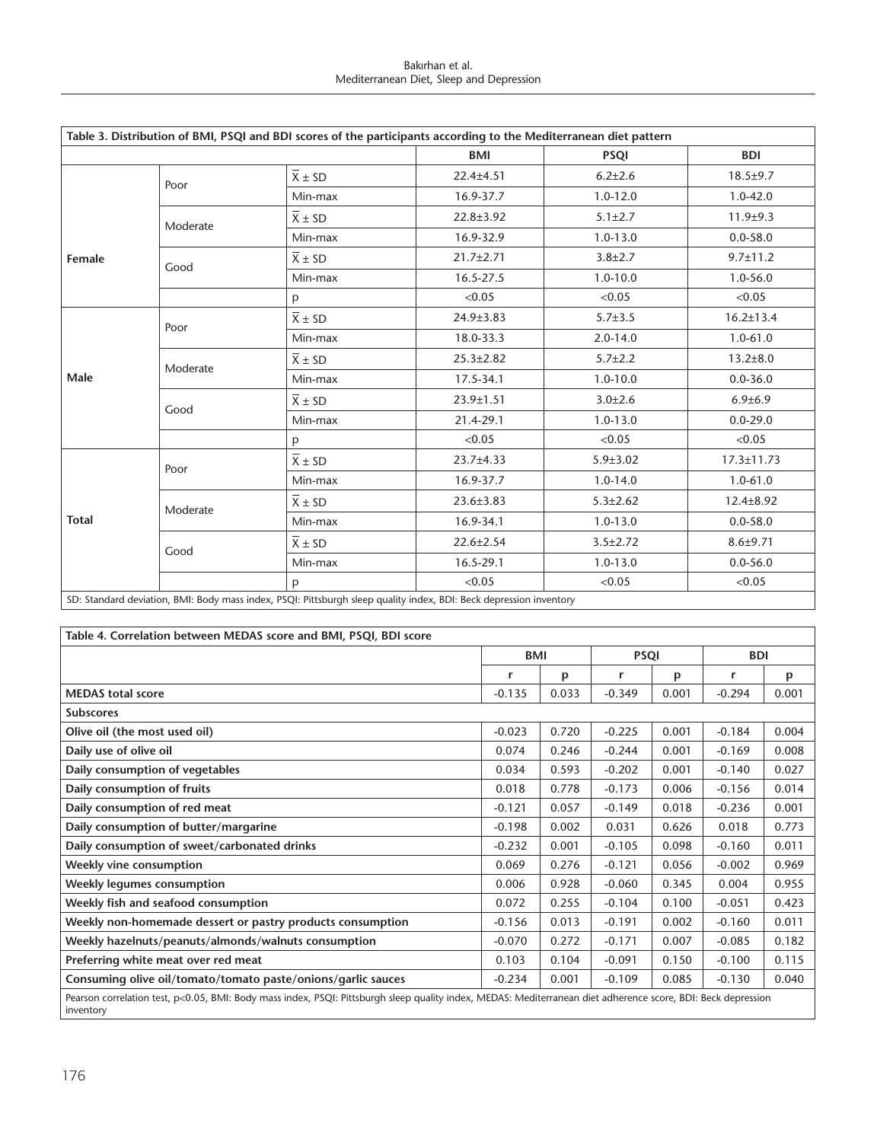#### Bakırhan et al. Mediterranean Diet, Sleep and Depression

|              |          |                        | Table 3. Distribution of BMI, PSQI and BDI scores of the participants according to the Mediterranean diet pattern |                |                  |
|--------------|----------|------------------------|-------------------------------------------------------------------------------------------------------------------|----------------|------------------|
|              |          |                        | BMI                                                                                                               | <b>PSQI</b>    | <b>BDI</b>       |
|              | Poor     | $\overline{X} \pm SD$  | $22.4 \pm 4.51$                                                                                                   | $6.2{\pm}2.6$  | $18.5 + 9.7$     |
|              |          | Min-max                | 16.9-37.7                                                                                                         | $1.0 - 12.0$   | $1.0 - 42.0$     |
|              | Moderate | $\overline{X} \pm SD$  | $22.8 \pm 3.92$                                                                                                   | $5.1 \pm 2.7$  | $11.9 + 9.3$     |
|              |          | Min-max                | 16.9-32.9                                                                                                         | $1.0 - 13.0$   | $0.0 - 58.0$     |
| Female       | Good     | $\overline{X} \pm SD$  | $21.7 \pm 2.71$                                                                                                   | $3.8 \pm 2.7$  | $9.7 \pm 11.2$   |
|              |          | Min-max                | 16.5-27.5                                                                                                         | $1.0 - 10.0$   | 1.0-56.0         |
|              |          | p                      | < 0.05                                                                                                            | < 0.05         | < 0.05           |
| Male         | Poor     | $\overline{X} \pm SD$  | $24.9 \pm 3.83$                                                                                                   | $5.7 \pm 3.5$  | $16.2 \pm 13.4$  |
|              |          | Min-max                | 18.0-33.3                                                                                                         | $2.0 - 14.0$   | $1.0 - 61.0$     |
|              | Moderate | $\overline{X} \pm SD$  | $25.3 \pm 2.82$                                                                                                   | $5.7 \pm 2.2$  | $13.2 \pm 8.0$   |
|              |          | Min-max                | 17.5-34.1                                                                                                         | $1.0 - 10.0$   | $0.0 - 36.0$     |
|              | Good     | $\overline{X} \pm S D$ | 23.9±1.51                                                                                                         | $3.0 \pm 2.6$  | $6.9{\pm}6.9$    |
|              |          | Min-max                | 21.4-29.1                                                                                                         | $1.0 - 13.0$   | $0.0 - 29.0$     |
|              |          | p                      | < 0.05                                                                                                            | < 0.05         | < 0.05           |
|              |          | $X \pm SD$             | $23.7 + 4.33$                                                                                                     | $5.9 \pm 3.02$ | $17.3 \pm 11.73$ |
|              | Poor     | Min-max                | 16.9-37.7                                                                                                         | $1.0 - 14.0$   | $1.0 - 61.0$     |
|              |          | $\overline{X}$ ± SD    | $23.6 \pm 3.83$                                                                                                   | $5.3 \pm 2.62$ | $12.4 \pm 8.92$  |
| <b>Total</b> | Moderate | Min-max                | 16.9-34.1                                                                                                         | $1.0 - 13.0$   | $0.0 - 58.0$     |
|              | Good     | $\overline{X} \pm SD$  | 22.6±2.54                                                                                                         | $3.5 \pm 2.72$ | $8.6 + 9.71$     |
|              |          | Min-max                | 16.5-29.1                                                                                                         | $1.0 - 13.0$   | $0.0 - 56.0$     |
|              |          | p                      | < 0.05                                                                                                            | < 0.05         | < 0.05           |

SD: Standard deviation, BMI: Body mass index, PSQI: Pittsburgh sleep quality index, BDI: Beck depression inventory

| Table 4. Correlation between MEDAS score and BMI, PSQI, BDI score                                                                                                          |          |       |             |       |            |       |  |  |
|----------------------------------------------------------------------------------------------------------------------------------------------------------------------------|----------|-------|-------------|-------|------------|-------|--|--|
|                                                                                                                                                                            | BMI      |       | <b>PSQI</b> |       | <b>BDI</b> |       |  |  |
|                                                                                                                                                                            | r        | p     | r           | p     | r          | p     |  |  |
| <b>MEDAS</b> total score                                                                                                                                                   | $-0.135$ | 0.033 | $-0.349$    | 0.001 | $-0.294$   | 0.001 |  |  |
| <b>Subscores</b>                                                                                                                                                           |          |       |             |       |            |       |  |  |
| Olive oil (the most used oil)                                                                                                                                              | $-0.023$ | 0.720 | $-0.225$    | 0.001 | $-0.184$   | 0.004 |  |  |
| Daily use of olive oil                                                                                                                                                     | 0.074    | 0.246 | $-0.244$    | 0.001 | $-0.169$   | 0.008 |  |  |
| Daily consumption of vegetables                                                                                                                                            | 0.034    | 0.593 | $-0.202$    | 0.001 | $-0.140$   | 0.027 |  |  |
| Daily consumption of fruits                                                                                                                                                | 0.018    | 0.778 | $-0.173$    | 0.006 | $-0.156$   | 0.014 |  |  |
| Daily consumption of red meat                                                                                                                                              | $-0.121$ | 0.057 | $-0.149$    | 0.018 | $-0.236$   | 0.001 |  |  |
| Daily consumption of butter/margarine                                                                                                                                      | $-0.198$ | 0.002 | 0.031       | 0.626 | 0.018      | 0.773 |  |  |
| Daily consumption of sweet/carbonated drinks                                                                                                                               | $-0.232$ | 0.001 | $-0.105$    | 0.098 | $-0.160$   | 0.011 |  |  |
| Weekly vine consumption                                                                                                                                                    | 0.069    | 0.276 | $-0.121$    | 0.056 | $-0.002$   | 0.969 |  |  |
| Weekly legumes consumption                                                                                                                                                 | 0.006    | 0.928 | $-0.060$    | 0.345 | 0.004      | 0.955 |  |  |
| Weekly fish and seafood consumption                                                                                                                                        | 0.072    | 0.255 | $-0.104$    | 0.100 | $-0.051$   | 0.423 |  |  |
| Weekly non-homemade dessert or pastry products consumption                                                                                                                 | $-0.156$ | 0.013 | $-0.191$    | 0.002 | $-0.160$   | 0.011 |  |  |
| Weekly hazelnuts/peanuts/almonds/walnuts consumption                                                                                                                       | $-0.070$ | 0.272 | $-0.171$    | 0.007 | $-0.085$   | 0.182 |  |  |
| Preferring white meat over red meat                                                                                                                                        | 0.103    | 0.104 | $-0.091$    | 0.150 | $-0.100$   | 0.115 |  |  |
| Consuming olive oil/tomato/tomato paste/onions/garlic sauces                                                                                                               | $-0.234$ | 0.001 | $-0.109$    | 0.085 | $-0.130$   | 0.040 |  |  |
| Pearson correlation test, p<0.05, BMI: Body mass index, PSQI: Pittsburgh sleep quality index, MEDAS: Mediterranean diet adherence score, BDI: Beck depression<br>inventory |          |       |             |       |            |       |  |  |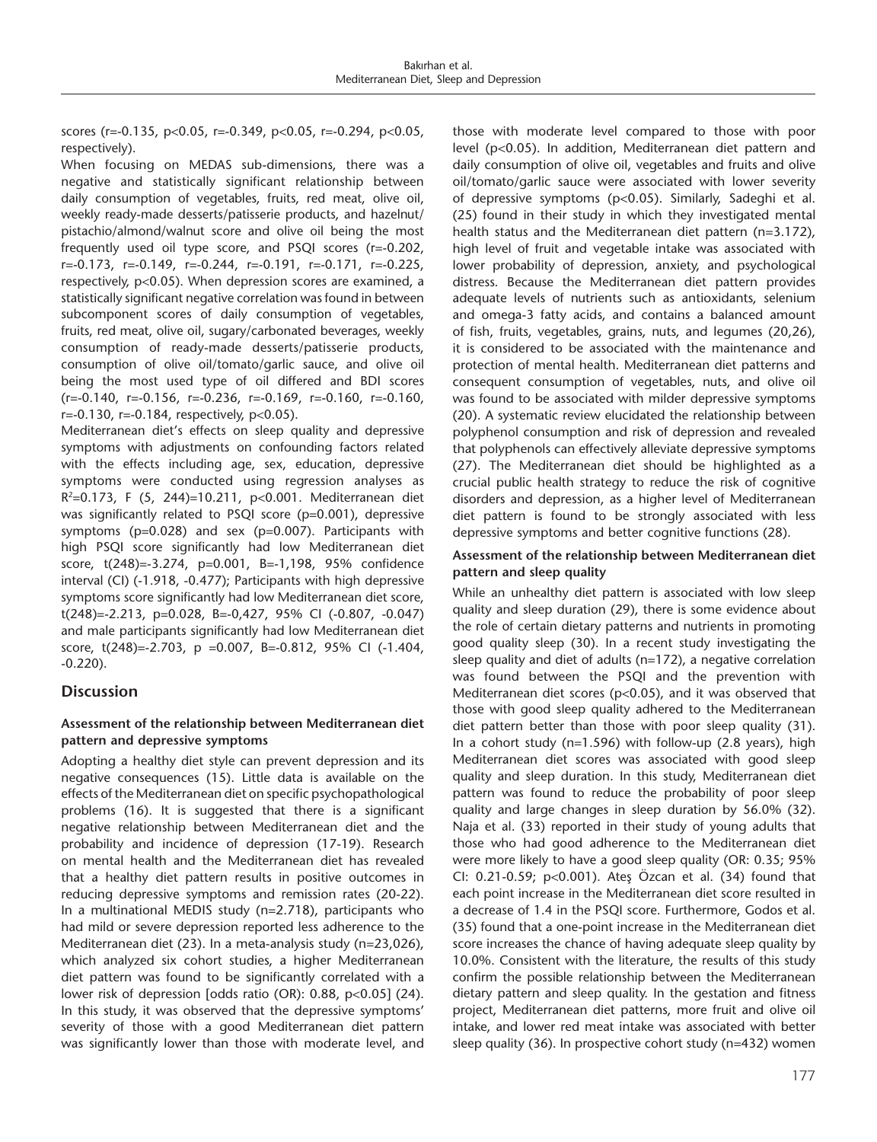scores (r=-0.135, p<0.05, r=-0.349, p<0.05, r=-0.294, p<0.05, respectively).

When focusing on MEDAS sub-dimensions, there was a negative and statistically significant relationship between daily consumption of vegetables, fruits, red meat, olive oil, weekly ready-made desserts/patisserie products, and hazelnut/ pistachio/almond/walnut score and olive oil being the most frequently used oil type score, and PSQI scores (r=-0.202, r=-0.173, r=-0.149, r=-0.244, r=-0.191, r=-0.171, r=-0.225, respectively, p<0.05). When depression scores are examined, a statistically significant negative correlation was found in between subcomponent scores of daily consumption of vegetables, fruits, red meat, olive oil, sugary/carbonated beverages, weekly consumption of ready-made desserts/patisserie products, consumption of olive oil/tomato/garlic sauce, and olive oil being the most used type of oil differed and BDI scores (r=-0.140, r=-0.156, r=-0.236, r=-0.169, r=-0.160, r=-0.160, r=-0.130, r=-0.184, respectively, p<0.05).

Mediterranean diet's effects on sleep quality and depressive symptoms with adjustments on confounding factors related with the effects including age, sex, education, depressive symptoms were conducted using regression analyses as R2=0.173, F (5, 244)=10.211, p<0.001. Mediterranean diet was significantly related to PSQI score (p=0.001), depressive symptoms (p=0.028) and sex (p=0.007). Participants with high PSQI score significantly had low Mediterranean diet score, t(248)=-3.274, p=0.001, B=-1,198, 95% confidence interval (CI) (-1.918, -0.477); Participants with high depressive symptoms score significantly had low Mediterranean diet score, t(248)=-2.213, p=0.028, B=-0,427, 95% CI (-0.807, -0.047) and male participants significantly had low Mediterranean diet score, t(248)=-2.703, p =0.007, B=-0.812, 95% CI (-1.404, -0.220).

# **Discussion**

# **Assessment of the relationship between Mediterranean diet pattern and depressive symptoms**

Adopting a healthy diet style can prevent depression and its negative consequences (15). Little data is available on the effects of the Mediterranean diet on specific psychopathological problems (16). It is suggested that there is a significant negative relationship between Mediterranean diet and the probability and incidence of depression (17-19). Research on mental health and the Mediterranean diet has revealed that a healthy diet pattern results in positive outcomes in reducing depressive symptoms and remission rates (20-22). In a multinational MEDIS study (n=2.718), participants who had mild or severe depression reported less adherence to the Mediterranean diet (23). In a meta-analysis study (n=23,026), which analyzed six cohort studies, a higher Mediterranean diet pattern was found to be significantly correlated with a lower risk of depression [odds ratio (OR): 0.88, p<0.05] (24). In this study, it was observed that the depressive symptoms' severity of those with a good Mediterranean diet pattern was significantly lower than those with moderate level, and

those with moderate level compared to those with poor level (p<0.05). In addition, Mediterranean diet pattern and daily consumption of olive oil, vegetables and fruits and olive oil/tomato/garlic sauce were associated with lower severity of depressive symptoms (p<0.05). Similarly, Sadeghi et al. (25) found in their study in which they investigated mental health status and the Mediterranean diet pattern (n=3.172), high level of fruit and vegetable intake was associated with lower probability of depression, anxiety, and psychological distress. Because the Mediterranean diet pattern provides adequate levels of nutrients such as antioxidants, selenium and omega-3 fatty acids, and contains a balanced amount of fish, fruits, vegetables, grains, nuts, and legumes (20,26), it is considered to be associated with the maintenance and protection of mental health. Mediterranean diet patterns and consequent consumption of vegetables, nuts, and olive oil was found to be associated with milder depressive symptoms (20). A systematic review elucidated the relationship between polyphenol consumption and risk of depression and revealed that polyphenols can effectively alleviate depressive symptoms (27). The Mediterranean diet should be highlighted as a crucial public health strategy to reduce the risk of cognitive disorders and depression, as a higher level of Mediterranean diet pattern is found to be strongly associated with less depressive symptoms and better cognitive functions (28).

# **Assessment of the relationship between Mediterranean diet pattern and sleep quality**

While an unhealthy diet pattern is associated with low sleep quality and sleep duration (29), there is some evidence about the role of certain dietary patterns and nutrients in promoting good quality sleep (30). In a recent study investigating the sleep quality and diet of adults (n=172), a negative correlation was found between the PSQI and the prevention with Mediterranean diet scores (p<0.05), and it was observed that those with good sleep quality adhered to the Mediterranean diet pattern better than those with poor sleep quality (31). In a cohort study (n=1.596) with follow-up (2.8 years), high Mediterranean diet scores was associated with good sleep quality and sleep duration. In this study, Mediterranean diet pattern was found to reduce the probability of poor sleep quality and large changes in sleep duration by 56.0% (32). Naja et al. (33) reported in their study of young adults that those who had good adherence to the Mediterranean diet were more likely to have a good sleep quality (OR: 0.35; 95% CI: 0.21-0.59; p<0.001). Ateş Özcan et al. (34) found that each point increase in the Mediterranean diet score resulted in a decrease of 1.4 in the PSQI score. Furthermore, Godos et al. (35) found that a one-point increase in the Mediterranean diet score increases the chance of having adequate sleep quality by 10.0%. Consistent with the literature, the results of this study confirm the possible relationship between the Mediterranean dietary pattern and sleep quality. In the gestation and fitness project, Mediterranean diet patterns, more fruit and olive oil intake, and lower red meat intake was associated with better sleep quality (36). In prospective cohort study (n=432) women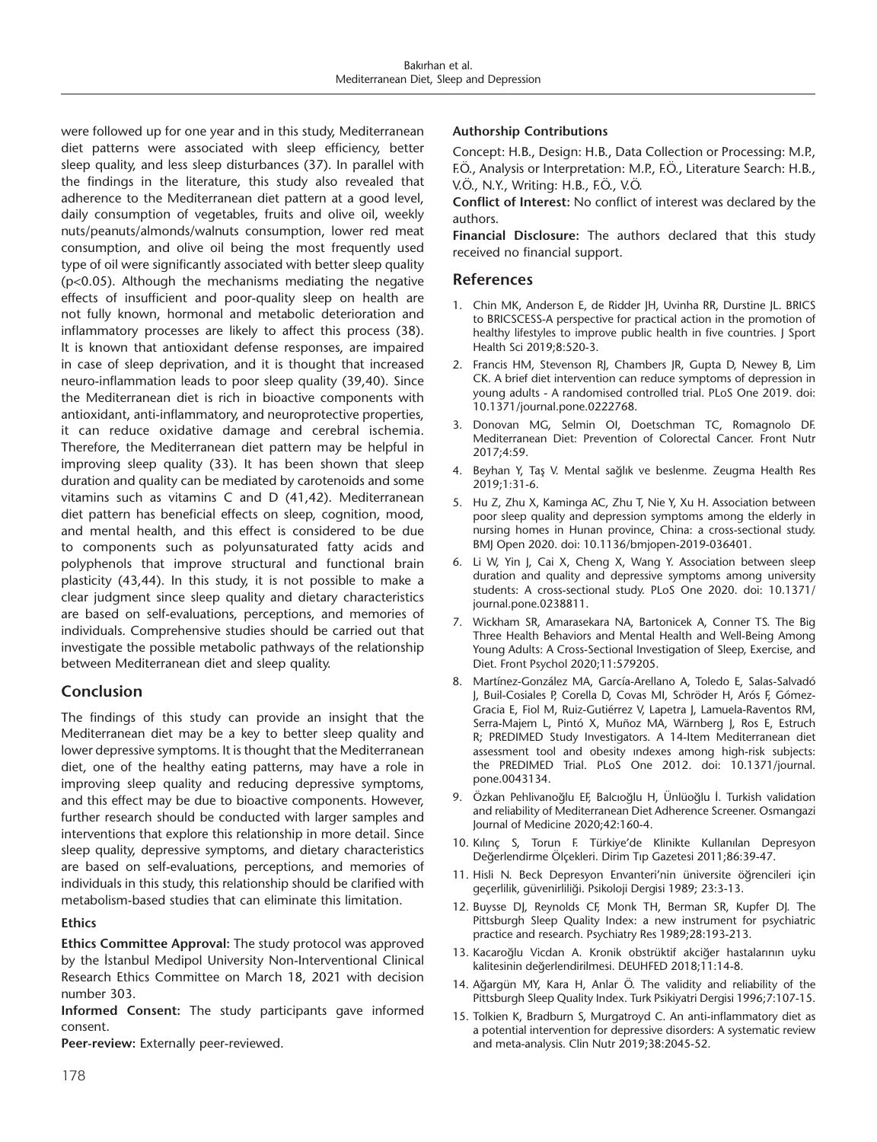were followed up for one year and in this study, Mediterranean diet patterns were associated with sleep efficiency, better sleep quality, and less sleep disturbances (37). In parallel with the findings in the literature, this study also revealed that adherence to the Mediterranean diet pattern at a good level, daily consumption of vegetables, fruits and olive oil, weekly nuts/peanuts/almonds/walnuts consumption, lower red meat consumption, and olive oil being the most frequently used type of oil were significantly associated with better sleep quality (p<0.05). Although the mechanisms mediating the negative effects of insufficient and poor-quality sleep on health are not fully known, hormonal and metabolic deterioration and inflammatory processes are likely to affect this process (38). It is known that antioxidant defense responses, are impaired in case of sleep deprivation, and it is thought that increased neuro-inflammation leads to poor sleep quality (39,40). Since the Mediterranean diet is rich in bioactive components with antioxidant, anti-inflammatory, and neuroprotective properties, it can reduce oxidative damage and cerebral ischemia. Therefore, the Mediterranean diet pattern may be helpful in improving sleep quality (33). It has been shown that sleep duration and quality can be mediated by carotenoids and some vitamins such as vitamins C and D (41,42). Mediterranean diet pattern has beneficial effects on sleep, cognition, mood, and mental health, and this effect is considered to be due to components such as polyunsaturated fatty acids and polyphenols that improve structural and functional brain plasticity (43,44). In this study, it is not possible to make a clear judgment since sleep quality and dietary characteristics are based on self-evaluations, perceptions, and memories of individuals. Comprehensive studies should be carried out that investigate the possible metabolic pathways of the relationship between Mediterranean diet and sleep quality.

# **Conclusion**

The findings of this study can provide an insight that the Mediterranean diet may be a key to better sleep quality and lower depressive symptoms. It is thought that the Mediterranean diet, one of the healthy eating patterns, may have a role in improving sleep quality and reducing depressive symptoms, and this effect may be due to bioactive components. However, further research should be conducted with larger samples and interventions that explore this relationship in more detail. Since sleep quality, depressive symptoms, and dietary characteristics are based on self-evaluations, perceptions, and memories of individuals in this study, this relationship should be clarified with metabolism-based studies that can eliminate this limitation.

# **Ethics**

**Ethics Committee Approval:** The study protocol was approved by the İstanbul Medipol University Non-Interventional Clinical Research Ethics Committee on March 18, 2021 with decision number 303.

**Informed Consent:** The study participants gave informed consent.

**Peer-review:** Externally peer-reviewed.

# **Authorship Contributions**

Concept: H.B., Design: H.B., Data Collection or Processing: M.P., F.Ö., Analysis or Interpretation: M.P., F.Ö., Literature Search: H.B., V.Ö., N.Y., Writing: H.B., F.Ö., V.Ö.

**Conflict of Interest:** No conflict of interest was declared by the authors.

**Financial Disclosure:** The authors declared that this study received no financial support.

# **References**

- 1. Chin MK, Anderson E, de Ridder JH, Uvinha RR, Durstine JL. BRICS to BRICSCESS-A perspective for practical action in the promotion of healthy lifestyles to improve public health in five countries. J Sport Health Sci 2019;8:520-3.
- 2. Francis HM, Stevenson RJ, Chambers JR, Gupta D, Newey B, Lim CK. A brief diet intervention can reduce symptoms of depression in young adults - A randomised controlled trial. PLoS One 2019. doi: 10.1371/journal.pone.0222768.
- 3. Donovan MG, Selmin OI, Doetschman TC, Romagnolo DF. Mediterranean Diet: Prevention of Colorectal Cancer. Front Nutr 2017;4:59.
- 4. Beyhan Y, Taş V. Mental sağlık ve beslenme. Zeugma Health Res 2019;1:31-6.
- 5. Hu Z, Zhu X, Kaminga AC, Zhu T, Nie Y, Xu H. Association between poor sleep quality and depression symptoms among the elderly in nursing homes in Hunan province, China: a cross-sectional study. BMJ Open 2020. doi: 10.1136/bmjopen-2019-036401.
- 6. Li W, Yin J, Cai X, Cheng X, Wang Y. Association between sleep duration and quality and depressive symptoms among university students: A cross-sectional study. PLoS One 2020. doi: 10.1371/ journal.pone.0238811.
- 7. Wickham SR, Amarasekara NA, Bartonicek A, Conner TS. The Big Three Health Behaviors and Mental Health and Well-Being Among Young Adults: A Cross-Sectional Investigation of Sleep, Exercise, and Diet. Front Psychol 2020;11:579205.
- 8. Martínez-González MA, García-Arellano A, Toledo E, Salas-Salvadó J, Buil-Cosiales P, Corella D, Covas MI, Schröder H, Arós F, Gómez-Gracia E, Fiol M, Ruiz-Gutiérrez V, Lapetra J, Lamuela-Raventos RM, Serra-Majem L, Pintó X, Muñoz MA, Wärnberg J, Ros E, Estruch R; PREDIMED Study Investigators. A 14-Item Mediterranean diet assessment tool and obesity ındexes among high-risk subjects: the PREDIMED Trial. PLoS One 2012. doi: 10.1371/journal. pone.0043134.
- 9. Özkan Pehlivanoğlu EF, Balcıoğlu H, Ünlüoğlu İ. Turkish validation and reliability of Mediterranean Diet Adherence Screener. Osmangazi Journal of Medicine 2020;42:160-4.
- 10. Kılınç S, Torun F. Türkiye'de Klinikte Kullanılan Depresyon Değerlendirme Ölçekleri. Dirim Tıp Gazetesi 2011;86:39-47.
- 11. Hisli N. Beck Depresyon Envanteri'nin üniversite öğrencileri için geçerlilik, güvenirliliği. Psikoloji Dergisi 1989; 23:3-13.
- 12. Buysse DJ, Reynolds CF, Monk TH, Berman SR, Kupfer DJ. The Pittsburgh Sleep Quality Index: a new instrument for psychiatric practice and research. Psychiatry Res 1989;28:193-213.
- 13. Kacaroğlu Vicdan A. Kronik obstrüktif akciğer hastalarının uyku kalitesinin değerlendirilmesi. DEUHFED 2018;11:14-8.
- 14. Ağargün MY, Kara H, Anlar Ö. The validity and reliability of the Pittsburgh Sleep Quality Index. Turk Psikiyatri Dergisi 1996;7:107-15.
- 15. Tolkien K, Bradburn S, Murgatroyd C. An anti-inflammatory diet as a potential intervention for depressive disorders: A systematic review and meta-analysis. Clin Nutr 2019;38:2045-52.